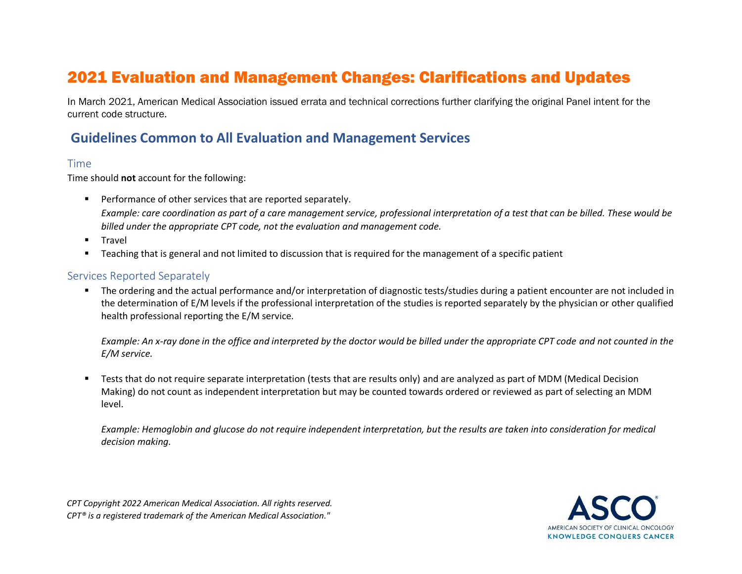# 2021 Evaluation and Management Changes: Clarifications and Updates

In March 2021, American Medical Association issued errata and technical corrections further clarifying the original Panel intent for the current code structure.

## **Guidelines Common to All Evaluation and Management Services**

#### Time

Time should **not** account for the following:

- Performance of other services that are reported separately. *Example: care coordination as part of a care management service, professional interpretation of a test that can be billed. These would be billed under the appropriate CPT code, not the evaluation and management code.*
- Travel
- Teaching that is general and not limited to discussion that is required for the management of a specific patient

### Services Reported Separately

▪ The ordering and the actual performance and/or interpretation of diagnostic tests/studies during a patient encounter are not included in the determination of E/M levels if the professional interpretation of the studies is reported separately by the physician or other qualified health professional reporting the E/M service.

*Example: An x-ray done in the office and interpreted by the doctor would be billed under the appropriate CPT code and not counted in the E/M service.* 

■ Tests that do not require separate interpretation (tests that are results only) and are analyzed as part of MDM (Medical Decision Making) do not count as independent interpretation but may be counted towards ordered or reviewed as part of selecting an MDM level.

*Example: Hemoglobin and glucose do not require independent interpretation, but the results are taken into consideration for medical decision making.* 

*CPT Copyright 2022 American Medical Association. All rights reserved. CPT® is a registered trademark of the American Medical Association."*

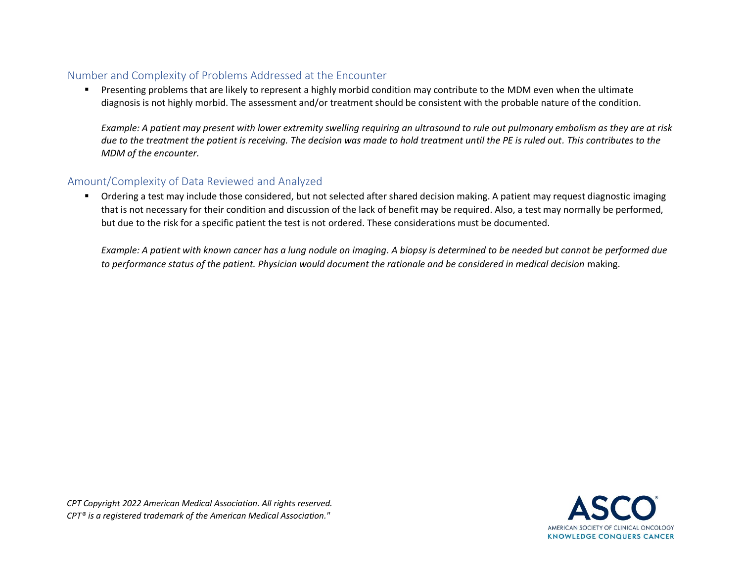### Number and Complexity of Problems Addressed at the Encounter

**•** Presenting problems that are likely to represent a highly morbid condition may contribute to the MDM even when the ultimate diagnosis is not highly morbid. The assessment and/or treatment should be consistent with the probable nature of the condition.

*Example: A patient may present with lower extremity swelling requiring an ultrasound to rule out pulmonary embolism as they are at risk due to the treatment the patient is receiving. The decision was made to hold treatment until the PE is ruled out. This contributes to the MDM of the encounter.* 

### Amount/Complexity of Data Reviewed and Analyzed

■ Ordering a test may include those considered, but not selected after shared decision making. A patient may request diagnostic imaging that is not necessary for their condition and discussion of the lack of benefit may be required. Also, a test may normally be performed, but due to the risk for a specific patient the test is not ordered. These considerations must be documented.

*Example: A patient with known cancer has a lung nodule on imaging. A biopsy is determined to be needed but cannot be performed due* to performance status of the patient. Physician would document the rationale and be considered in medical decision making.

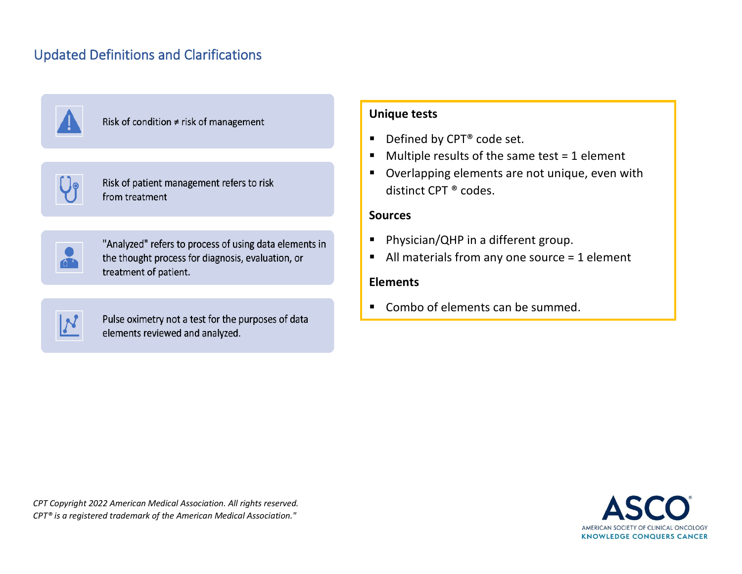# Updated Definitions and Clarifications



Risk of condition  $\neq$  risk of management

| Risk of patient management refers to ris |  |
|------------------------------------------|--|
| from treatment                           |  |

"Analyzed" refers to process of using data elements in the thought process for diagnosis, evaluation, or treatment of patient.



Pulse oximetry not a test for the purposes of data elements reviewed and analyzed.

### **Unique tests**

- Defined by CPT<sup>®</sup> code set.
- $\blacksquare$  Multiple results of the same test = 1 element
- Overlapping elements are not unique, even with distinct CPT ® codes.

### **Sources**

- Physician/QHP in a different group.
- $\blacksquare$  All materials from any one source = 1 element

### **Elements**

■ Combo of elements can be summed.

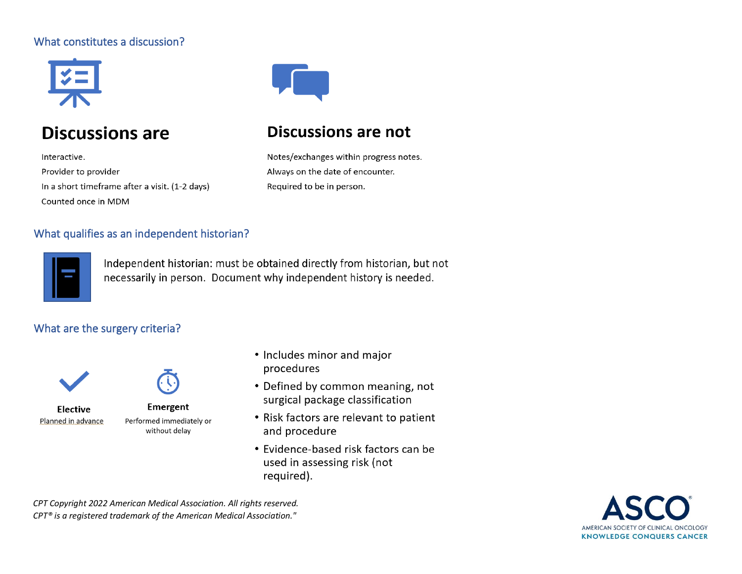## What constitutes a discussion?



# **Discussions are**

Interactive. Provider to provider In a short timeframe after a visit. (1-2 days) Counted once in MDM



# **Discussions are not**

Notes/exchanges within progress notes. Always on the date of encounter. Required to be in person.

## What qualifies as an independent historian?



Independent historian: must be obtained directly from historian, but not necessarily in person. Document why independent history is needed.

## What are the surgery criteria?





Emergent Performed immediately or without delay

- Includes minor and major procedures
- Defined by common meaning, not surgical package classification
- Risk factors are relevant to patient and procedure
- Evidence-based risk factors can be used in assessing risk (not required).

*CPT Copyright 2022 American Medical Association. All rights reserved. CPT® is a registered trademark of the American Medical Association."*